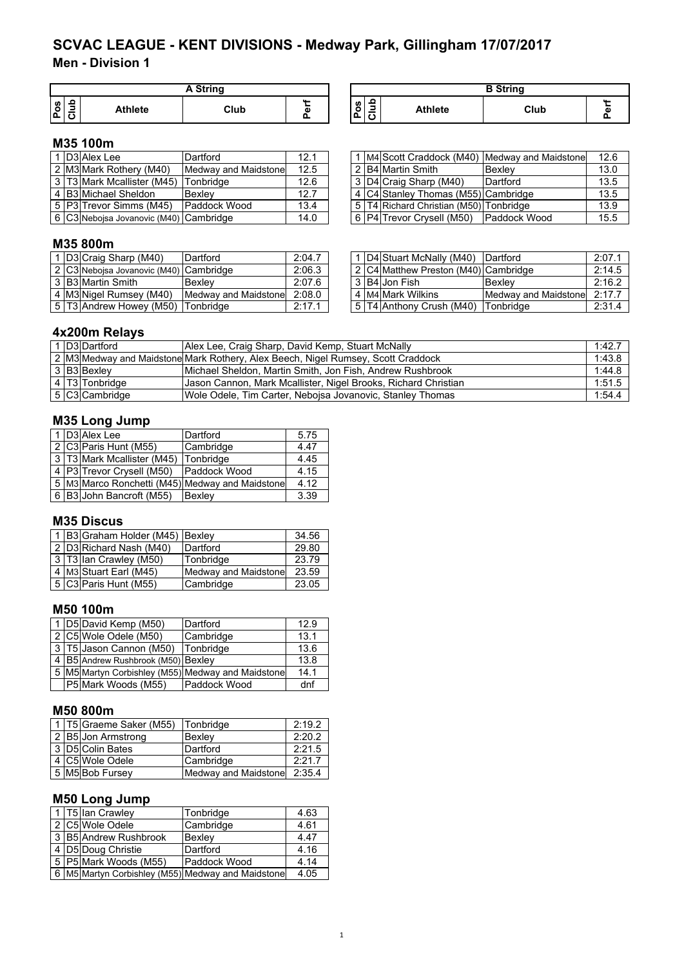**Men - Division 1**

|   |   |         | A String |   |
|---|---|---------|----------|---|
| w | o | Athlete | Club     | ω |

| A String |   |                     |                                         |                | <b>B</b> String |  |
|----------|---|---------------------|-----------------------------------------|----------------|-----------------|--|
| Club     | ď | ဖာ<br>$\circ$<br>Ő. | -<br>-<br>$\overline{\phantom{a}}$<br>∼ | <b>Athlete</b> | Club            |  |

# **M35 100m**

|  | D3 Alex Lee                            | Dartford             | 12.1 |  |                                              | I M4 Scott Craddock (M40) Medway and Maidstone | 12.6 |
|--|----------------------------------------|----------------------|------|--|----------------------------------------------|------------------------------------------------|------|
|  | 2 M3 Mark Rothery (M40)                | Medway and Maidstone | 12.5 |  | 2 B4 Martin Smith                            | <b>Bexlev</b>                                  | 13.0 |
|  | 3 T3 Mark Mcallister (M45)             | lTonbridae           | 12.6 |  | 3 D4 Craig Sharp (M40)                       | Dartford                                       | 13.5 |
|  | 4 B3 Michael Sheldon                   | Bexley               | 12.7 |  | 4 C4 Stanley Thomas (M55) Cambridge          |                                                | 13.5 |
|  | 5   P3   Trevor Simms (M45)            | <b>Paddock Wood</b>  | 13.4 |  | 5   T4 Richard Christian (M50)   Tonbridge   |                                                | 13.9 |
|  | 6 C3 Nebojsa Jovanovic (M40) Cambridge |                      | 14.0 |  | 6   P4   Trevor Crysell (M50)   Paddock Wood |                                                | 15.5 |

|  | 1 D3 Alex Lee                          | Dartford             | 12.1 |  |                                        | 1 IM4 Scott Craddock (M40) Medway and Maidstonel | 12.6 |
|--|----------------------------------------|----------------------|------|--|----------------------------------------|--------------------------------------------------|------|
|  | 2 M3 Mark Rothery (M40)                | Medway and Maidstone | 12.5 |  | 2 B4 Martin Smith                      | <b>IBexlev</b>                                   | 13.0 |
|  | 3 IT3IMark Mcallister (M45)            | Tonbridge            | 12.6 |  | 3 D4 Craig Sharp (M40)                 | Dartford                                         | 13.5 |
|  | 4 IB3 Michael Sheldon                  | Bexlev               | 12.7 |  | 4 C4 Stanley Thomas (M55) Cambridge    |                                                  | 13.5 |
|  | 5   P3  Trevor Simms (M45)             | <b>IPaddock Wood</b> | 13.4 |  | 5 T4 Richard Christian (M50) Tonbridge |                                                  | 13.9 |
|  | 6 C3 Nebojsa Jovanovic (M40) Cambridge |                      | 14.0 |  | 6   P4   Trevor Crysell (M50)          | <b>Paddock Wood</b>                              | 15.5 |

# **M35 800m**

|  | I D3 Craig Sharp (M40)                 | Dartford             | 2:04.7 |  | ID4IStuart McNally (M40)             | <b>IDartford</b>     | 2:07.1 |
|--|----------------------------------------|----------------------|--------|--|--------------------------------------|----------------------|--------|
|  | 2 C3 Nebojsa Jovanovic (M40) Cambridge |                      | 2:06.3 |  | 2 C4 Matthew Preston (M40) Cambridge |                      | 2:14.5 |
|  | 3 B3 Martin Smith                      | <b>Bexlev</b>        | 2:07.6 |  | 3 B4 Jon Fish                        | Bexlev               | 2:16.2 |
|  | 4 M3 Nigel Rumsey (M40)                | Medway and Maidstone | 2:08.0 |  | 4 M4 Mark Wilkins                    | Medway and Maidstone | 2:17.7 |
|  | 5 T3 Andrew Howey (M50)                | Tonbridge            | 2:17.1 |  | 5 T4 Anthony Crush (M40)             | Tonbridge            | 2:31.4 |

|  | 1 D4 Stuart McNally (M40) Dartford   |                      | 2:07.1 |
|--|--------------------------------------|----------------------|--------|
|  | 2 C4 Matthew Preston (M40) Cambridge |                      | 2:14.5 |
|  | 3 B4 Jon Fish                        | Bexlev               | 2:16.2 |
|  | 4 M4 Mark Wilkins                    | Medway and Maidstone | 2:17.7 |
|  | 5 T4 Anthony Crush (M40) Tonbridge   |                      | 2:31.4 |

## **4x200m Relays**

|  | D3 Dartford    | Alex Lee, Craig Sharp, David Kemp, Stuart McNally                                | 1:42.7 |
|--|----------------|----------------------------------------------------------------------------------|--------|
|  |                | 2 M3 Medway and Maidstone Mark Rothery, Alex Beech, Nigel Rumsey, Scott Craddock | 1:43.8 |
|  | 3 B3 Bexley    | Michael Sheldon, Martin Smith, Jon Fish, Andrew Rushbrook                        | 1:44.8 |
|  | 4 T3 Tonbridge | Uason Cannon, Mark Mcallister, Nigel Brooks, Richard Christian                   | 1:51.5 |
|  | 5 C3 Cambridge | Wole Odele, Tim Carter, Nebojsa Jovanovic, Stanley Thomas                        | 1:54.4 |

# **M35 Long Jump**

|  | 1 D3 Alex Lee                  | Dartford                                              | 5.75 |
|--|--------------------------------|-------------------------------------------------------|------|
|  | 2 C3 Paris Hunt (M55)          | Cambridge                                             | 4.47 |
|  | 3   T3   Mark Mcallister (M45) | Tonbridge                                             | 4.45 |
|  | 4   P3   Trevor Crysell (M50)  | Paddock Wood                                          | 4.15 |
|  |                                | 5   M3   Marco Ronchetti (M45)   Medway and Maidstone | 4.12 |
|  | 6 B3 John Bancroft (M55)       | Bexley                                                | 3.39 |

## **M35 Discus**

|  | 1 B3 Graham Holder (M45) Bexley |                      | 34.56 |
|--|---------------------------------|----------------------|-------|
|  | 2 D3 Richard Nash (M40)         | Dartford             | 29.80 |
|  | 3   T3   Ian Crawley (M50)      | Tonbridge            | 23.79 |
|  | 4 M3 Stuart Earl (M45)          | Medway and Maidstone | 23.59 |
|  | 5 C3 Paris Hunt (M55)           | Cambridge            | 23.05 |

## **M50 100m**

|  | 1 D5 David Kemp (M50)              | Dartford                                          | 12.9 |
|--|------------------------------------|---------------------------------------------------|------|
|  | 2 C5 Wole Odele (M50)              | Cambridge                                         | 13.1 |
|  | 3 T5 Jason Cannon (M50) Tonbridge  |                                                   | 13.6 |
|  | 4 B5 Andrew Rushbrook (M50) Bexley |                                                   | 13.8 |
|  |                                    | 5 M5 Martyn Corbishley (M55) Medway and Maidstone | 14.1 |
|  | P5 Mark Woods (M55)                | Paddock Wood                                      | dnf  |

## **M50 800m**

|  | 1   T5 Graeme Saker (M55) | Tonbridge            | 2:19.2 |
|--|---------------------------|----------------------|--------|
|  | 2 B5 Jon Armstrong        | Bexley               | 2:20.2 |
|  | 3 D5 Colin Bates          | Dartford             | 2:21.5 |
|  | 4 C5 Wole Odele           | Cambridge            | 2:21.7 |
|  | 5 M5 Bob Fursey           | Medway and Maidstone | 2:35.4 |

# **M50 Long Jump**

|  | 1 T5 Ian Crawley      | Tonbridge                                         | 4.63 |
|--|-----------------------|---------------------------------------------------|------|
|  | 2 C5 Wole Odele       | Cambridge                                         | 4.61 |
|  | 3 B5 Andrew Rushbrook | Bexley                                            | 4.47 |
|  | 4 D5 Doug Christie    | Dartford                                          | 4.16 |
|  | 5 P5 Mark Woods (M55) | Paddock Wood                                      | 4.14 |
|  |                       | 6 M5 Martyn Corbishley (M55) Medway and Maidstone | 4.05 |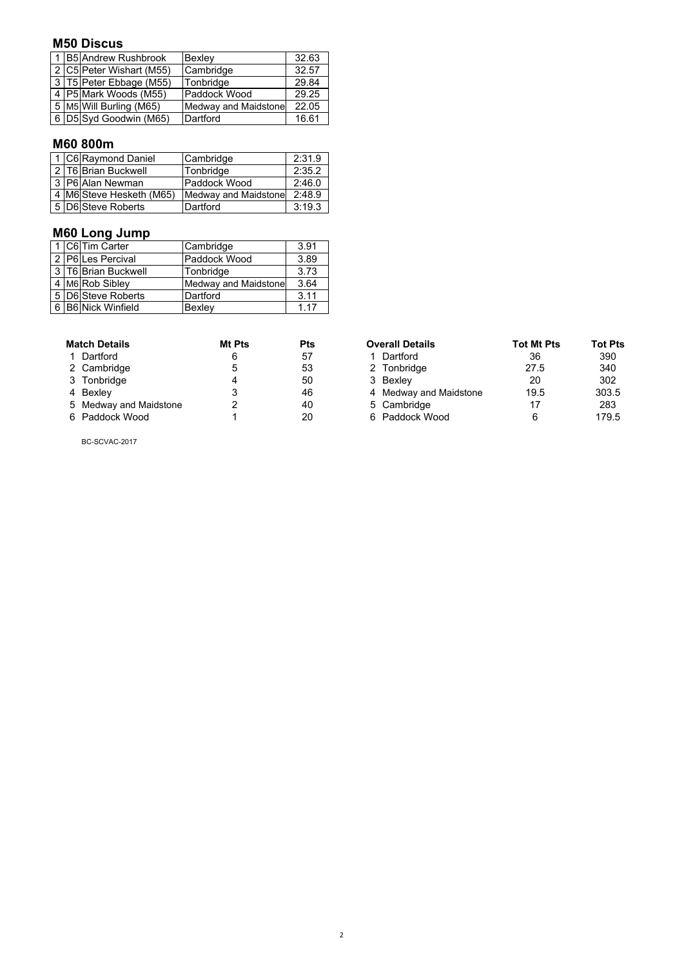## **M50 Discus**

|  | 1 B5 Andrew Rushbrook    | Bexley               | 32.63 |
|--|--------------------------|----------------------|-------|
|  | 2 C5 Peter Wishart (M55) | Cambridge            | 32.57 |
|  | 3 T5 Peter Ebbage (M55)  | Tonbridge            | 29.84 |
|  | 4 P5 Mark Woods (M55)    | Paddock Wood         | 29.25 |
|  | 5 M5 Will Burling (M65)  | Medway and Maidstone | 22.05 |
|  | 6 D5 Syd Goodwin (M65)   | Dartford             | 16.61 |

## **M60 800m**

|  | 1 C6 Raymond Daniel      | Cambridge            | 2:31.9 |
|--|--------------------------|----------------------|--------|
|  | 2 T6 Brian Buckwell      | Tonbridge            | 2:35.2 |
|  | 3 P6 Alan Newman         | Paddock Wood         | 2:46.0 |
|  | 4 M6 Steve Hesketh (M65) | Medway and Maidstone | 2:48.9 |
|  | 5 D6 Steve Roberts       | Dartford             | 3:19.3 |

# **M60 Long Jump**

|  | 1 C6 Tim Carter     | Cambridge                   | 3.91 |
|--|---------------------|-----------------------------|------|
|  | 2 P6 Les Percival   | Paddock Wood                | 3.89 |
|  | 3 T6 Brian Buckwell | Tonbridge                   | 3.73 |
|  | 4 M6 Rob Sibley     | <b>Medway and Maidstone</b> | 3.64 |
|  | 5 D6 Steve Roberts  | Dartford                    | 3.11 |
|  | 6 B6 Nick Winfield  | Bexley                      | 1.17 |

| <b>Match Details</b>   | <b>Mt Pts</b> | Pts |
|------------------------|---------------|-----|
| 1 Dartford             | 6             | 57  |
| 2 Cambridge            | 5             | 53  |
| 3 Tonbridge            | 4             | 50  |
| 4 Bexley               | 3             | 46  |
| 5 Medway and Maidstone | 2             | 40  |
| 6 Paddock Wood         | 1             | 20  |

**Multim Details Are All Details Are Are Are Property** Tot Mt Pts Tot Pts 1 Dartford 36 and 390 1 Dartford 1 27.5 390<br>2 Tonbridge 27.5 340 2 Tonbridge 27.5 340<br>3 Bexley 20 302 3 Tonbridge 4 50 3 Bexley 20 302 4 Medway and Maidstone 19.5 303.5<br>5 Cambridge 17 283 5 Cambridge 17 283<br>6 Paddock Wood 6 179.5 6 Paddock Wood

BC-SCVAC-2017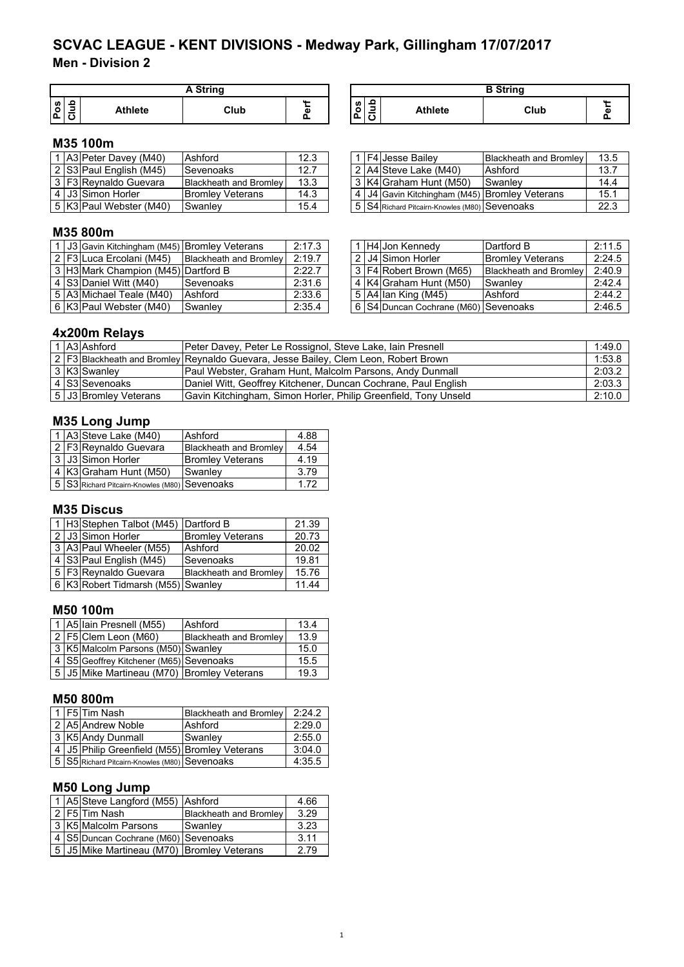**Men - Division 2**

|         | A String |                |      |   |  |  |  |
|---------|----------|----------------|------|---|--|--|--|
| U)<br>o |          | <b>Athlete</b> | Club | ω |  |  |  |

| A String |   |                                                             |                | <b>B</b> String |  |
|----------|---|-------------------------------------------------------------|----------------|-----------------|--|
| Club     | n | ິ<br>Pos<br>$\overline{\phantom{0}}$<br>$\overline{ }$<br>ㄴ | <b>Athlete</b> | Club            |  |

# **M35 100m**

|  | . A3 Peter Davey (M40)  | Ashford                       | 12.3 |  | <b>F4 Jesse Bailev</b>                        | <b>Blackheath and Bromley</b> | 13.5 |
|--|-------------------------|-------------------------------|------|--|-----------------------------------------------|-------------------------------|------|
|  | 2 S3 Paul English (M45) | Sevenoaks                     | 12.7 |  | 2 A4 Steve Lake (M40)                         | Ashford                       | 13.7 |
|  | 3 F3 Reynaldo Guevara   | <b>Blackheath and Bromley</b> | 13.3 |  | 3 K4 Graham Hunt (M50)                        | Swanley                       | 14.4 |
|  | 4 J3 Simon Horler       | <b>Bromley Veterans</b>       | 14.3 |  | 4 J4 Gavin Kitchingham (M45) Bromley Veterans |                               | 15.1 |
|  | 5 K3 Paul Webster (M40) | ISwanlev                      | 15.4 |  | 5 S4 Richard Pitcairn-Knowles (M80) Sevenoaks |                               | 22.3 |

# **M35 800m**

|  |                                                                                                           | 2:17.3                                                                                                                                                   |
|--|-----------------------------------------------------------------------------------------------------------|----------------------------------------------------------------------------------------------------------------------------------------------------------|
|  |                                                                                                           | 2:19.7                                                                                                                                                   |
|  |                                                                                                           | 2:22.7                                                                                                                                                   |
|  |                                                                                                           | 2:31.6                                                                                                                                                   |
|  |                                                                                                           | 2:33.6                                                                                                                                                   |
|  |                                                                                                           | 2:35.4                                                                                                                                                   |
|  | 2 F3 Luca Ercolani (M45)<br>4 S3 Daniel Witt (M40)<br>5 A3 Michael Teale (M40)<br>6 K3 Paul Webster (M40) | 1 J3 Gavin Kitchingham (M45) Bromley Veterans<br><b>Blackheath and Bromley</b><br>3 H3 Mark Champion (M45) Dartford B<br>Sevenoaks<br>Ashford<br>Swanley |

|  | 1   F4   Jesse Bailey                         | Blackheath and Bromley | 13.5 |
|--|-----------------------------------------------|------------------------|------|
|  | $\sqrt{2 A4 }$ Steve Lake (M40)               | Ashford                | 13.7 |
|  | 3   K4 Graham Hunt (M50)                      | Swanley                | 14.4 |
|  | 4 J4 Gavin Kitchingham (M45) Bromley Veterans |                        | 15.1 |
|  | 5 S4 Richard Pitcairn-Knowles (M80) Sevenoaks |                        | 22.3 |

|  | 1   J3 Gavin Kitchingham (M45) Bromley Veterans |                                                 | 2:17.3 |  | 1 H4 Jon Kennedy                     | Dartford B                    | 2:11.5 |
|--|-------------------------------------------------|-------------------------------------------------|--------|--|--------------------------------------|-------------------------------|--------|
|  |                                                 | 2 F3 Luca Ercolani (M45) Blackheath and Bromley | 2:19.7 |  | 2 J4 Simon Horler                    | <b>Bromley Veterans</b>       | 2:24.5 |
|  | 3 H3 Mark Champion (M45) Dartford B             |                                                 | 2:22.7 |  | 3 F4 Robert Brown (M65)              | <b>Blackheath and Bromley</b> | 2:40.9 |
|  | 4 S3 Daniel Witt (M40)                          | <b>Sevenoaks</b>                                | 2:31.6 |  | 4 K4 Graham Hunt (M50)               | Swanley                       | 2:42.4 |
|  | 5   A3   Michael Teale (M40)                    | Ashford                                         | 2:33.6 |  | $5$ A4 Ian King (M45)                | Ashford                       | 2:44.2 |
|  | 6   K3   Paul Webster (M40)                     | Swanlev                                         | 2:35.4 |  | 6 S4 Duncan Cochrane (M60) Sevenoaks |                               | 2:46.5 |

## **4x200m Relays**

|  | 1 A3 Ashford          | Peter Davey, Peter Le Rossignol, Steve Lake, Iain Presnell                               | 1:49.0 |
|--|-----------------------|------------------------------------------------------------------------------------------|--------|
|  |                       | ,2   F3  Blackheath and Bromley  Reynaldo Guevara, Jesse Bailey, Clem Leon, Robert Brown | 1:53.8 |
|  | 3 K3 Swanley          | Paul Webster, Graham Hunt, Malcolm Parsons, Andy Dunmall                                 | 2:03.2 |
|  | 4 S3 Sevenoaks        | Daniel Witt, Geoffrey Kitchener, Duncan Cochrane, Paul English                           | 2:03.3 |
|  | 5 J3 Bromley Veterans | Gavin Kitchingham, Simon Horler, Philip Greenfield, Tony Unseld                          | 2:10.0 |

# **M35 Long Jump**

|  | 1 A3 Steve Lake (M40)                         | Ashford                       | 4.88 |
|--|-----------------------------------------------|-------------------------------|------|
|  | 2 F3 Reynaldo Guevara                         | <b>Blackheath and Bromley</b> | 4.54 |
|  | 3 J3 Simon Horler                             | <b>Bromley Veterans</b>       | 4.19 |
|  | 4 K3 Graham Hunt (M50)                        | Swanley                       | 3.79 |
|  | 5 S3 Richard Pitcairn-Knowles (M80) Sevenoaks |                               | 172  |

# **M35 Discus**

|  | 1 H3 Stephen Talbot (M45) Dartford B |                               | 21.39 |
|--|--------------------------------------|-------------------------------|-------|
|  | 2 J3 Simon Horler                    | <b>Bromley Veterans</b>       | 20.73 |
|  | 3 A3 Paul Wheeler (M55)              | Ashford                       | 20.02 |
|  | 4 S3 Paul English (M45)              | Sevenoaks                     | 19.81 |
|  | 5   F3   Reynaldo Guevara            | <b>Blackheath and Bromley</b> | 15.76 |
|  | 6 K3 Robert Tidmarsh (M55) Swanley   |                               | 11.44 |

# **M50 100m**

|  | 1   A5   Iain Presnell (M55)               | Ashford                       | 13.4 |
|--|--------------------------------------------|-------------------------------|------|
|  | 2 F5 Clem Leon (M60)                       | <b>Blackheath and Bromley</b> | 13.9 |
|  | 3 K5 Malcolm Parsons (M50) Swanley         |                               | 15.0 |
|  | 4 S5 Geoffrey Kitchener (M65) Sevenoaks    |                               | 15.5 |
|  | 5 J5 Mike Martineau (M70) Bromley Veterans |                               | 19.3 |

# **M50 800m**

|  | 1   F5 Tim Nash                                   | <b>Blackheath and Bromley</b> | 2.242  |
|--|---------------------------------------------------|-------------------------------|--------|
|  | 2 A5 Andrew Noble                                 | Ashford                       | 2:29.0 |
|  | 3 K5 Andy Dunmall                                 | Swanley                       | 2:55.0 |
|  | 4   J5   Philip Greenfield (M55) Bromley Veterans |                               | 3:04.0 |
|  | 5 S5 Richard Pitcairn-Knowles (M80) Sevenoaks     |                               | 4:35.5 |

# **M50 Long Jump**

|  | 1 A5 Steve Langford (M55) Ashford           |                               | 4.66 |
|--|---------------------------------------------|-------------------------------|------|
|  | 2 F5 Tim Nash                               | <b>Blackheath and Bromley</b> | 3.29 |
|  | 3 K5 Malcolm Parsons                        | Swanley                       | 3.23 |
|  | 4 S5 Duncan Cochrane (M60) Sevenoaks        |                               | 3.11 |
|  | 5 JJ5 Mike Martineau (M70) Bromley Veterans |                               | 2.79 |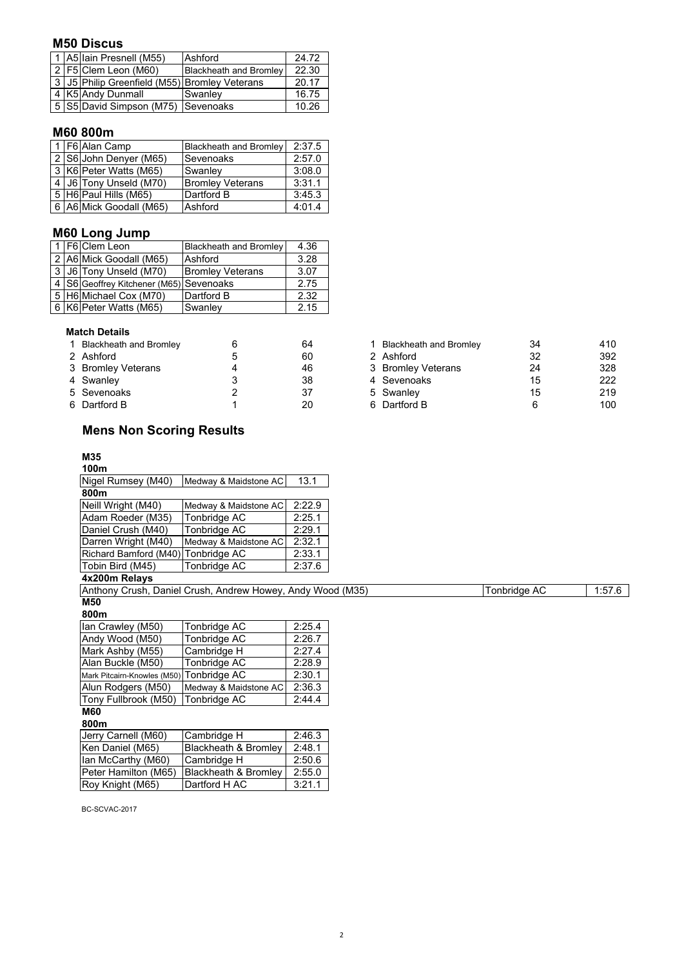## **M50 Discus**

| 24.72 |
|-------|
| 22.30 |
| 20.17 |
| 16.75 |
| 10.26 |
|       |

# **M60 800m**

|  | 1   F6   Alan Camp      | <b>Blackheath and Bromley</b> | 2:37.5 |
|--|-------------------------|-------------------------------|--------|
|  | 2 S6 John Denyer (M65)  | Sevenoaks                     | 2:57.0 |
|  | 3 K6 Peter Watts (M65)  | Swanley                       | 3:08.0 |
|  | 4 J6 Tony Unseld (M70)  | <b>Bromley Veterans</b>       | 3:31.1 |
|  | 5 H6 Paul Hills (M65)   | Dartford B                    | 3:45.3 |
|  | 6 A6 Mick Goodall (M65) | Ashford                       | 4:01.4 |

## **M60 Long Jump**

|  | 1 F6 Clem Leon                              | Blackheath and Bromley  | 4.36 |
|--|---------------------------------------------|-------------------------|------|
|  | 2 A6 Mick Goodall (M65)                     | Ashford                 | 3.28 |
|  | 3 J6 Tony Unseld (M70)                      | <b>Bromley Veterans</b> | 3.07 |
|  | 4   S6 Geoffrey Kitchener (M65)   Sevenoaks |                         | 2.75 |
|  | 5 H6 Michael Cox (M70)                      | Dartford B              | 2.32 |
|  | 6 K6 Peter Watts (M65)                      | Swanley                 | 2.15 |

### **Match Details**

| 1 Blackheath and Bromley |   | 64 | <b>Blackheath and Bromley</b> | 34 | 410 |
|--------------------------|---|----|-------------------------------|----|-----|
| 2 Ashford                |   | 60 | 2 Ashford                     | 32 | 392 |
| 3 Bromley Veterans       | 4 | 46 | 3 Bromley Veterans            | 24 | 328 |
| 4 Swanley                |   | 38 | 4 Sevenoaks                   | 15 | 222 |
| 5 Sevenoaks              |   | 37 | 5 Swanley                     | 15 | 219 |
| 6 Dartford B             |   | 20 | 6 Dartford B                  |    | 100 |
|                          |   |    |                               |    |     |

# **Mens Non Scoring Results**

#### **M35 100m**

| 100m                               |                       |        |
|------------------------------------|-----------------------|--------|
| Nigel Rumsey (M40)                 | Medway & Maidstone AC | 13.1   |
| 800m                               |                       |        |
| Neill Wright (M40)                 | Medway & Maidstone AC | 2.22.9 |
| Adam Roeder (M35)                  | Tonbridge AC          | 2:25.1 |
| Daniel Crush (M40)                 | Tonbridge AC          | 2:29.1 |
| Darren Wright (M40)                | Medway & Maidstone AC | 2:32.1 |
| Richard Bamford (M40) Tonbridge AC |                       | 2:33.1 |
| Tobin Bird (M45)                   | Tonbridge AC          | 2:37.6 |

# **4x200m Relays**

Tonbridge AC 1:57.6 **M50** Anthony Crush, Daniel Crush, Andrew Howey, Andy Wood (M35)

**800m**

| Ian Crawley (M50)                        | Tonbridge AC          | 2:25.4 |
|------------------------------------------|-----------------------|--------|
| Andy Wood (M50)                          | Tonbridge AC          | 2:26.7 |
| Mark Ashby (M55)                         | Cambridge H           | 2:27.4 |
| Alan Buckle (M50)                        | Tonbridge AC          | 2:28.9 |
| Mark Pitcairn-Knowles (M50) Tonbridge AC |                       | 2:30.1 |
| Alun Rodgers (M50)                       | Medway & Maidstone AC | 2:36.3 |
| Tony Fullbrook (M50)                     | Tonbridge AC          | 2:44.4 |
|                                          |                       |        |

#### **M60 800m**

| Jerry Carnell (M60)  | Cambridge H          | 2:46.3 |
|----------------------|----------------------|--------|
| Ken Daniel (M65)     | Blackheath & Bromley | 2:48.1 |
| lan McCarthy (M60)   | Cambridge H          | 2:50.6 |
| Peter Hamilton (M65) | Blackheath & Bromley | 2:55.0 |
| Roy Knight (M65)     | Dartford H AC        | 3:21.1 |

BC-SCVAC-2017

| <b>Blackheath and Bromley</b> | 64 | <b>Blackheath and Bromley</b> | 34                                                                          | 410 |
|-------------------------------|----|-------------------------------|-----------------------------------------------------------------------------|-----|
| 2 Ashford                     | 60 |                               | 32                                                                          | 392 |
| 3 Bromley Veterans            | 46 |                               | 24                                                                          | 328 |
| 4 Swanley                     | 38 |                               | 15                                                                          | 222 |
| 5 Sevenoaks                   | 37 |                               | 15                                                                          | 219 |
| 6 Dartford B                  | 20 |                               |                                                                             | 100 |
|                               |    |                               | 2 Ashford<br>3 Bromley Veterans<br>4 Sevenoaks<br>5 Swanley<br>6 Dartford B |     |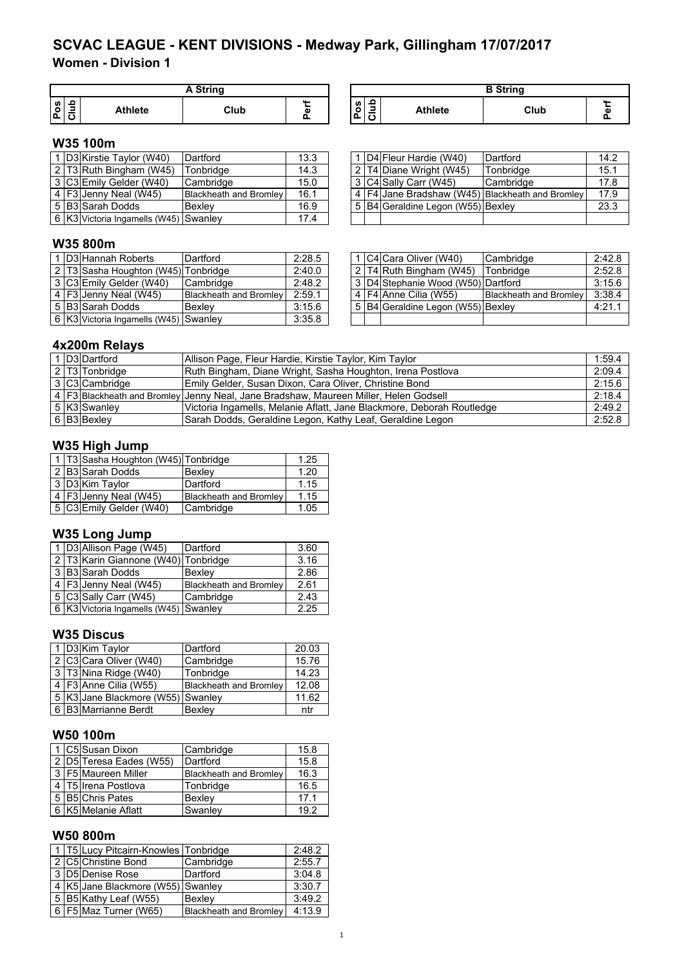**Women - Division 1**

|        |   |                | A String |   |
|--------|---|----------------|----------|---|
| S<br>o | ∍ | <b>Athlete</b> | Club     | ω |

| <b>A String</b> |    |              |                                                                | <b>B</b> String |      |  |
|-----------------|----|--------------|----------------------------------------------------------------|-----------------|------|--|
| Club            | G. | w<br>o<br>۱ó | ൧<br>$\overline{\phantom{0}}$<br>$\overline{\phantom{a}}$<br>v | <b>Athlete</b>  | Club |  |

# **W35 100m**

|  | D3 Kirstie Taylor (W40)                 | Dartford                      | 13.3 |  | D4 Fleur Hardie (W40)             | Dartford                                            | 14.2 |
|--|-----------------------------------------|-------------------------------|------|--|-----------------------------------|-----------------------------------------------------|------|
|  | $2$ T3 Ruth Bingham (W45)               | Tonbridae                     | 14.3 |  | 2 T4 Diane Wright (W45)           | Tonbridge                                           | 15.1 |
|  | 3 C3 Emily Gelder (W40)                 | <b>Cambridge</b>              | 15.0 |  | 3 C4 Sally Carr (W45)             | <b>Cambridge</b>                                    | 17.8 |
|  | 4 F3 Jenny Neal (W45)                   | <b>Blackheath and Bromley</b> | 16.1 |  |                                   | 4   F4 Jane Bradshaw (W45)   Blackheath and Bromley | 17.9 |
|  | 5 B3 Sarah Dodds                        | Bexlev                        | 16.9 |  | 5 B4 Geraldine Legon (W55) Bexley |                                                     | 23.3 |
|  | 6   K3 Victoria Ingamells (W45) Swanley |                               | 17.4 |  |                                   |                                                     |      |

|  | 1 D4 Fleur Hardie (W40)           | Dartford                                            | 14.2 |
|--|-----------------------------------|-----------------------------------------------------|------|
|  | 2 T4 Diane Wright (W45)           | Tonbridge                                           | 15.1 |
|  | 3 C4 Sally Carr (W45)             | Cambridge                                           | 17.8 |
|  |                                   | 4   F4 Jane Bradshaw (W45)   Blackheath and Bromley | 17.9 |
|  | 5 B4 Geraldine Legon (W55) Bexley |                                                     | 23.3 |
|  |                                   |                                                     |      |

# **W35 800m**

|  | 1 D3 Hannah Roberts                   | Dartford                      | 2:28.5 |  | 1 C4 Cara Oliver (W40)             | <b>Cambridge</b>              | 2:42.8 |
|--|---------------------------------------|-------------------------------|--------|--|------------------------------------|-------------------------------|--------|
|  | 2 T3 Sasha Houghton (W45) Tonbridge   |                               | 2:40.0 |  | 2 T4 Ruth Bingham (W45)            | Tonbridge                     | 2:52.8 |
|  | 3 C3 Emily Gelder (W40)               | <b>Cambridge</b>              | 2:48.2 |  | 3 D4 Stephanie Wood (W50) Dartford |                               | 3:15.6 |
|  | 4 $F3$ Jenny Neal (W45)               | <b>Blackheath and Bromley</b> | 2:59.1 |  | 4   F4   Anne Cilia (W55)          | <b>Blackheath and Bromley</b> | 3:38.4 |
|  | 5 B3 Sarah Dodds                      | Bexlev                        | 3:15.6 |  | 5 B4 Geraldine Legon (W55) Bexley  |                               | 4:21.1 |
|  | 6 K3 Victoria Ingamells (W45) Swanley |                               | 3:35.8 |  |                                    |                               |        |
|  |                                       |                               |        |  |                                    |                               |        |

|  | 1 C4 Cara Oliver (W40)                | Cambridge                     | 2:42.8 |
|--|---------------------------------------|-------------------------------|--------|
|  | 2 T4 Ruth Bingham (W45)               | Tonbridge                     | 2:52.8 |
|  | 3   D4 Stephanie Wood (W50) Dartford  |                               | 3:15.6 |
|  | 4   F4   Anne Cilia (W55)             | <b>Blackheath and Bromley</b> | 3:38.4 |
|  | 5   B4 Geraldine Legon (W55)   Bexley |                               | 4:21.1 |
|  |                                       |                               |        |

# **4x200m Relays**

|  | 1 D3 Dartford  | Allison Page, Fleur Hardie, Kirstie Taylor, Kim Taylor                                 | 1:59.4 |
|--|----------------|----------------------------------------------------------------------------------------|--------|
|  | 2 T3 Tonbridge | Ruth Bingham, Diane Wright, Sasha Houghton, Irena Postlova                             | 2:09.4 |
|  | 3 C3 Cambridge | Emily Gelder, Susan Dixon, Cara Oliver, Christine Bond                                 | 2:15.6 |
|  |                | 4   F3 Blackheath and Bromley Jenny Neal, Jane Bradshaw, Maureen Miller, Helen Godsell | 2:18.4 |
|  | 5 K3 Swanley   | Victoria Ingamells, Melanie Aflatt, Jane Blackmore, Deborah Routledge                  | 2:49.2 |
|  | 6 B3 Bexley    | Sarah Dodds, Geraldine Legon, Kathy Leaf, Geraldine Legon                              | 2:52.8 |

## **W35 High Jump**

|  | 1   T3 Sasha Houghton (W45)   Tonbridge |                        | 1.25 |
|--|-----------------------------------------|------------------------|------|
|  | 2 B3 Sarah Dodds                        | Bexley                 | 1.20 |
|  | 3 D3 Kim Taylor                         | Dartford               | 1.15 |
|  | 4 F3 Jenny Neal (W45)                   | Blackheath and Bromley | 1.15 |
|  | 5 C3 Emily Gelder (W40)                 | Cambridge              | 1.05 |

### **W35 Long Jump**

|  | 1 D3 Allison Page (W45)                     | Dartford                      | 3.60 |
|--|---------------------------------------------|-------------------------------|------|
|  | 2   T3   Karin Giannone (W40)   Tonbridge   |                               | 3.16 |
|  | 3 B3 Sarah Dodds                            | Bexlev                        | 2.86 |
|  | 4   F3 Jenny Neal (W45)                     | <b>Blackheath and Bromley</b> | 2.61 |
|  | 5 C3 Sally Carr (W45)                       | Cambridge                     | 2.43 |
|  | 6   K3   Victoria Ingamells (W45)   Swanley |                               | 2.25 |

### **W35 Discus**

|  | 1 D3 Kim Taylor                       | Dartford                      | 20.03 |
|--|---------------------------------------|-------------------------------|-------|
|  | 2 C3 Cara Oliver (W40)                | Cambridge                     | 15.76 |
|  | 3 T3 Nina Ridge (W40)                 | Tonbridge                     | 14.23 |
|  | 4   F3 Anne Cilia (W55)               | <b>Blackheath and Bromley</b> | 12.08 |
|  | 5   K3 Jane Blackmore (W55)   Swanley |                               | 11.62 |
|  | 6 B3 Marrianne Berdt                  | Bexley                        | ntr   |

# **W50 100m**

|  | 1 C5 Susan Dixon        | Cambridge                     | 15.8 |
|--|-------------------------|-------------------------------|------|
|  | 2 D5 Teresa Eades (W55) | Dartford                      | 15.8 |
|  | 3   F5   Maureen Miller | <b>Blackheath and Bromley</b> | 16.3 |
|  | 4   T5   Irena Postlova | Tonbridge                     | 16.5 |
|  | 5 B5 Chris Pates        | Bexlev                        | 17.1 |
|  | 6 K5 Melanie Aflatt     | Swanley                       | 19.2 |

# **W50 800m**

|  | 1   T5 Lucy Pitcairn-Knowles   Tonbridge |                               | 2:48.2 |
|--|------------------------------------------|-------------------------------|--------|
|  | 2 C5 Christine Bond                      | Cambridge                     | 2:55.7 |
|  | 3 D5 Denise Rose                         | Dartford                      | 3:04.8 |
|  | 4 K5 Jane Blackmore (W55) Swanley        |                               | 3:30.7 |
|  | 5 B5 Kathy Leaf (W55)                    | <b>Bexley</b>                 | 3:49.2 |
|  | 6   F5 Maz Turner (W65)                  | <b>Blackheath and Bromley</b> | 4:13.9 |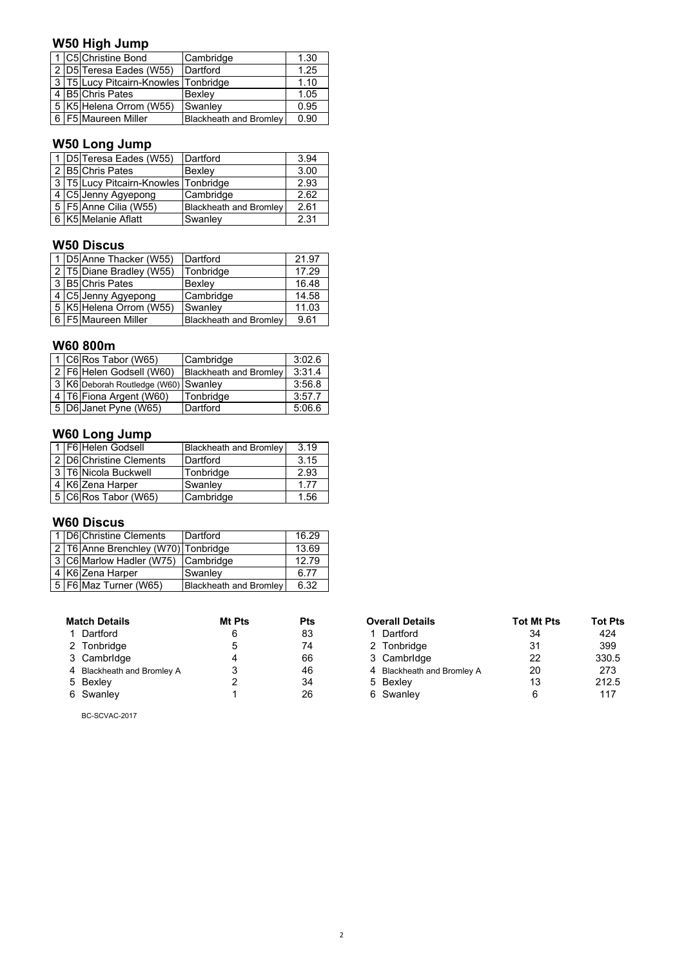# **W50 High Jump**

|  | 1 C5 Christine Bond                  | Cambridge                     | 1.30 |
|--|--------------------------------------|-------------------------------|------|
|  | 2 D5 Teresa Eades (W55)              | Dartford                      | 1.25 |
|  | 3 T5 Lucy Pitcairn-Knowles Tonbridge |                               | 1.10 |
|  | 4 B5 Chris Pates                     | Bexley                        | 1.05 |
|  | 5 K5 Helena Orrom (W55)              | Swanley                       | 0.95 |
|  | 6 F5 Maureen Miller                  | <b>Blackheath and Bromley</b> | 0.90 |

# **W50 Long Jump**

|                                      | 1 D5 Teresa Eades (W55)            | Dartford                      | 3.94 |
|--------------------------------------|------------------------------------|-------------------------------|------|
| 2 B5 Chris Pates                     |                                    | Bexley                        | 3.00 |
| 3 T5 Lucy Pitcairn-Knowles Tonbridge |                                    |                               | 2.93 |
|                                      | 4 C5 Jenny Agyepong                | Cambridge                     | 2.62 |
|                                      | $\overline{5}$ F5 Anne Cilia (W55) | <b>Blackheath and Bromley</b> | 2.61 |
|                                      | 6 K5 Melanie Aflatt                | Swanley                       | 2.31 |

# **W50 Discus**

|  | 1 D5 Anne Thacker (W55)  | Dartford               | 21.97 |
|--|--------------------------|------------------------|-------|
|  | 2 T5 Diane Bradley (W55) | Tonbridge              | 17.29 |
|  | 3 B5 Chris Pates         | Bexley                 | 16.48 |
|  | 4 C5 Jenny Agyepong      | Cambridge              | 14.58 |
|  | 5 K5 Helena Orrom (W55)  | Swanley                | 11.03 |
|  | 6   F5   Maureen Miller  | Blackheath and Bromley | 9.61  |

## **W60 800m**

|  | 1 C6 Ros Tabor (W65)                 | Cambridge                     | 3:02.6 |
|--|--------------------------------------|-------------------------------|--------|
|  | 2   F6   Helen Godsell (W60)         | <b>Blackheath and Bromley</b> | 3:31.4 |
|  | 3 K6 Deborah Routledge (W60) Swanley |                               | 3:56.8 |
|  | 4   T6   Fiona Argent (W60)          | Tonbridge                     | 3:57.7 |
|  | 5 D6 Janet Pyne (W65)                | Dartford                      | 5:06.6 |

# **W60 Long Jump**

|  | 1 F6 Helen Godsell      | <b>Blackheath and Bromley</b> | 3.19 |
|--|-------------------------|-------------------------------|------|
|  | 2 D6 Christine Clements | Dartford                      | 3.15 |
|  | 3 T6 Nicola Buckwell    | Tonbridge                     | 2.93 |
|  | 4 K6 Zena Harper        | Swanlev                       | 1.77 |
|  | 5 C6 Ros Tabor (W65)    | Cambridge                     | 1.56 |

# **W60 Discus**

|  | 1 D6 Christine Clements             | Dartford                      | 16.29 |
|--|-------------------------------------|-------------------------------|-------|
|  | 2 T6 Anne Brenchley (W70) Tonbridge |                               | 13.69 |
|  | 3 C6 Marlow Hadler (W75) Cambridge  |                               | 12.79 |
|  | 4 K6 Zena Harper                    | Swanley                       | 6.77  |
|  | 5   F6   Maz Turner (W65)           | <b>Blackheath and Bromley</b> | 6.32  |

| <b>Match Details</b>       | Mt Pts | <b>Pts</b> | <b>Overall Details</b>     | <b>Tot Mt Pts</b> | <b>Tot Pt</b> |
|----------------------------|--------|------------|----------------------------|-------------------|---------------|
| 1 Dartford                 |        | 83         | Dartford                   | 34                | 424           |
| 2 Tonbridge                |        | 74         | 2 Tonbridge                | 31                | 399           |
| 3 Cambridge                |        | 66         | 3 Cambridge                | 22                | 330.5         |
| 4 Blackheath and Bromley A |        | 46         | 4 Blackheath and Bromley A | 20                | 273           |
| 5 Bexley                   |        | 34         | 5 Bexley                   | 13                | 212.5         |
| 6 Swanley                  |        | 26         | 6 Swanley                  |                   | 117           |

BC-SCVAC-2017

| <b>Match Details</b>       | Mt Pts | <b>Pts</b> | <b>Overall Details</b>     | <b>Tot Mt Pts</b> | <b>Tot Pts</b> |
|----------------------------|--------|------------|----------------------------|-------------------|----------------|
| 1 Dartford                 | 6      | 83         | 1 Dartford                 | 34                | 424            |
| 2 Tonbridge                | 5      | 74         | 2 Tonbridge                | 31                | 399            |
| 3 Cambridge                |        | 66         | 3 Cambridge                | 22                | 330.5          |
| 4 Blackheath and Bromley A |        | 46         | 4 Blackheath and Bromley A | 20                | 273            |
| 5 Bexley                   |        | 34         | 5 Bexley                   | 13                | 212.5          |
| 6 Swanley                  |        | 26         | 6 Swanley                  |                   | 117            |